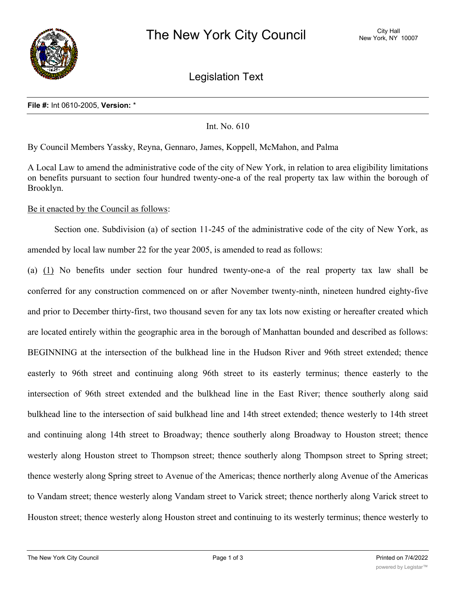

Legislation Text

## **File #:** Int 0610-2005, **Version:** \*

Int. No. 610

By Council Members Yassky, Reyna, Gennaro, James, Koppell, McMahon, and Palma

A Local Law to amend the administrative code of the city of New York, in relation to area eligibility limitations on benefits pursuant to section four hundred twenty-one-a of the real property tax law within the borough of Brooklyn.

Be it enacted by the Council as follows:

Section one. Subdivision (a) of section 11-245 of the administrative code of the city of New York, as amended by local law number 22 for the year 2005, is amended to read as follows:

(a) (1) No benefits under section four hundred twenty-one-a of the real property tax law shall be conferred for any construction commenced on or after November twenty-ninth, nineteen hundred eighty-five and prior to December thirty-first, two thousand seven for any tax lots now existing or hereafter created which are located entirely within the geographic area in the borough of Manhattan bounded and described as follows: BEGINNING at the intersection of the bulkhead line in the Hudson River and 96th street extended; thence easterly to 96th street and continuing along 96th street to its easterly terminus; thence easterly to the intersection of 96th street extended and the bulkhead line in the East River; thence southerly along said bulkhead line to the intersection of said bulkhead line and 14th street extended; thence westerly to 14th street and continuing along 14th street to Broadway; thence southerly along Broadway to Houston street; thence westerly along Houston street to Thompson street; thence southerly along Thompson street to Spring street; thence westerly along Spring street to Avenue of the Americas; thence northerly along Avenue of the Americas to Vandam street; thence westerly along Vandam street to Varick street; thence northerly along Varick street to Houston street; thence westerly along Houston street and continuing to its westerly terminus; thence westerly to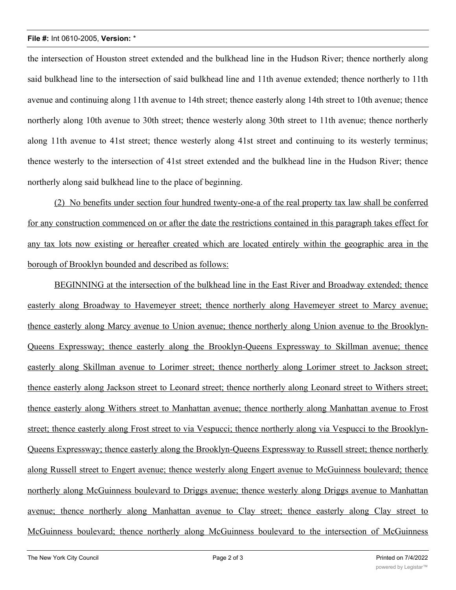## **File #:** Int 0610-2005, **Version:** \*

the intersection of Houston street extended and the bulkhead line in the Hudson River; thence northerly along said bulkhead line to the intersection of said bulkhead line and 11th avenue extended; thence northerly to 11th avenue and continuing along 11th avenue to 14th street; thence easterly along 14th street to 10th avenue; thence northerly along 10th avenue to 30th street; thence westerly along 30th street to 11th avenue; thence northerly along 11th avenue to 41st street; thence westerly along 41st street and continuing to its westerly terminus; thence westerly to the intersection of 41st street extended and the bulkhead line in the Hudson River; thence northerly along said bulkhead line to the place of beginning.

(2) No benefits under section four hundred twenty-one-a of the real property tax law shall be conferred for any construction commenced on or after the date the restrictions contained in this paragraph takes effect for any tax lots now existing or hereafter created which are located entirely within the geographic area in the borough of Brooklyn bounded and described as follows:

BEGINNING at the intersection of the bulkhead line in the East River and Broadway extended; thence easterly along Broadway to Havemeyer street; thence northerly along Havemeyer street to Marcy avenue; thence easterly along Marcy avenue to Union avenue; thence northerly along Union avenue to the Brooklyn-Queens Expressway; thence easterly along the Brooklyn-Queens Expressway to Skillman avenue; thence easterly along Skillman avenue to Lorimer street; thence northerly along Lorimer street to Jackson street; thence easterly along Jackson street to Leonard street; thence northerly along Leonard street to Withers street; thence easterly along Withers street to Manhattan avenue; thence northerly along Manhattan avenue to Frost street; thence easterly along Frost street to via Vespucci; thence northerly along via Vespucci to the Brooklyn-Queens Expressway; thence easterly along the Brooklyn-Queens Expressway to Russell street; thence northerly along Russell street to Engert avenue; thence westerly along Engert avenue to McGuinness boulevard; thence northerly along McGuinness boulevard to Driggs avenue; thence westerly along Driggs avenue to Manhattan avenue; thence northerly along Manhattan avenue to Clay street; thence easterly along Clay street to McGuinness boulevard; thence northerly along McGuinness boulevard to the intersection of McGuinness